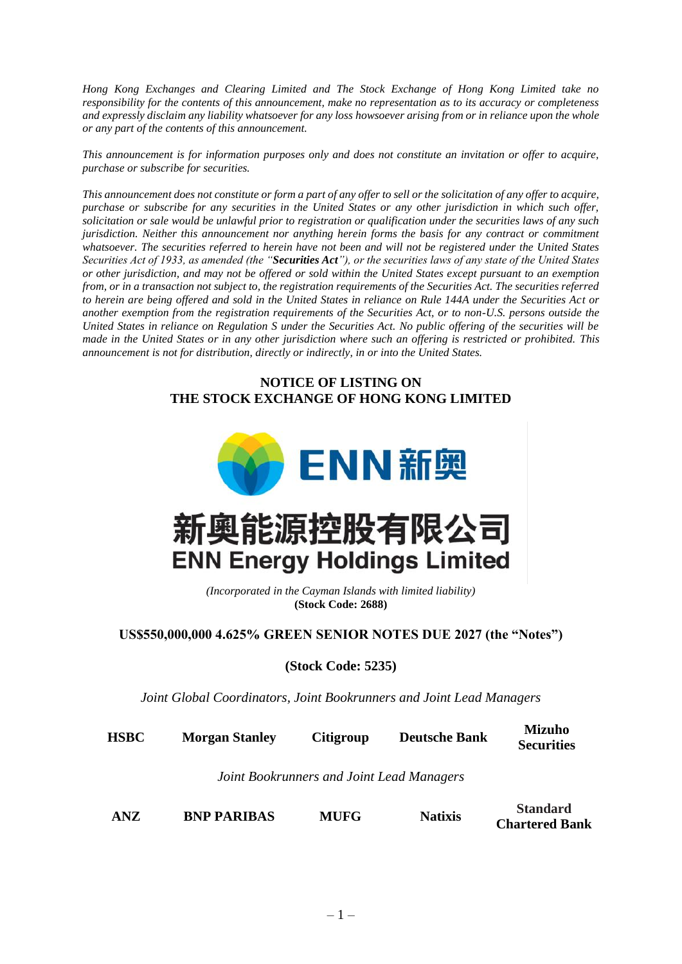*Hong Kong Exchanges and Clearing Limited and The Stock Exchange of Hong Kong Limited take no responsibility for the contents of this announcement, make no representation as to its accuracy or completeness and expressly disclaim any liability whatsoever for any loss howsoever arising from or in reliance upon the whole or any part of the contents of this announcement.*

*This announcement is for information purposes only and does not constitute an invitation or offer to acquire, purchase or subscribe for securities.*

*This announcement does not constitute or form a part of any offer to sell or the solicitation of any offer to acquire, purchase or subscribe for any securities in the United States or any other jurisdiction in which such offer, solicitation or sale would be unlawful prior to registration or qualification under the securities laws of any such jurisdiction. Neither this announcement nor anything herein forms the basis for any contract or commitment whatsoever. The securities referred to herein have not been and will not be registered under the United States Securities Act of 1933, as amended (the "Securities Act"), or the securities laws of any state of the United States or other jurisdiction, and may not be offered or sold within the United States except pursuant to an exemption from, or in a transaction not subject to, the registration requirements of the Securities Act. The securities referred to herein are being offered and sold in the United States in reliance on Rule 144A under the Securities Act or another exemption from the registration requirements of the Securities Act, or to non-U.S. persons outside the United States in reliance on Regulation S under the Securities Act. No public offering of the securities will be made in the United States or in any other jurisdiction where such an offering is restricted or prohibited. This announcement is not for distribution, directly or indirectly, in or into the United States.*

## **NOTICE OF LISTING ON THE STOCK EXCHANGE OF HONG KONG LIMITED**



*(Incorporated in the Cayman Islands with limited liability)* **(Stock Code: 2688)**

**US\$550,000,000 4.625% GREEN SENIOR NOTES DUE 2027 (the "Notes")**

**(Stock Code: 5235)**

*Joint Global Coordinators, Joint Bookrunners and Joint Lead Managers*

**HSBC Morgan Stanley Citigroup Deutsche Bank Mizuho Securities**

*Joint Bookrunners and Joint Lead Managers*

**ANZ BNP PARIBAS MUFG Natixis Standard**

**Chartered Bank**